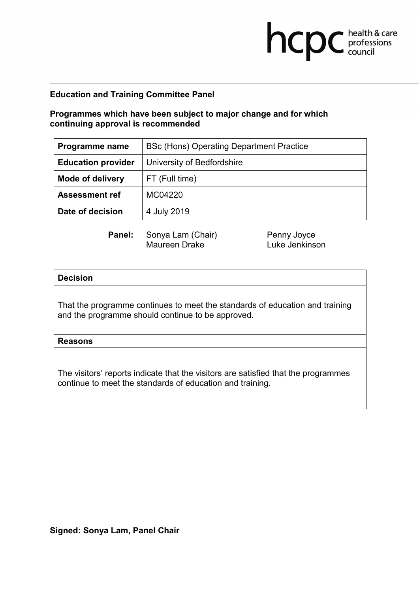# **Programmes which have been subject to major change and for which continuing approval is recommended**

| Programme name            | BSc (Hons) Operating Department Practice |
|---------------------------|------------------------------------------|
| <b>Education provider</b> | University of Bedfordshire               |
| <b>Mode of delivery</b>   | FT (Full time)                           |
| <b>Assessment ref</b>     | MC04220                                  |
| Date of decision          | 4 July 2019                              |

Maureen Drake

**Panel:** Sonya Lam (Chair) Penny Joyce<br>Maureen Drake **Prace Luke Jenkinson** 

**health & care** 

### **Decision**

That the programme continues to meet the standards of education and training and the programme should continue to be approved.

#### **Reasons**

The visitors' reports indicate that the visitors are satisfied that the programmes continue to meet the standards of education and training.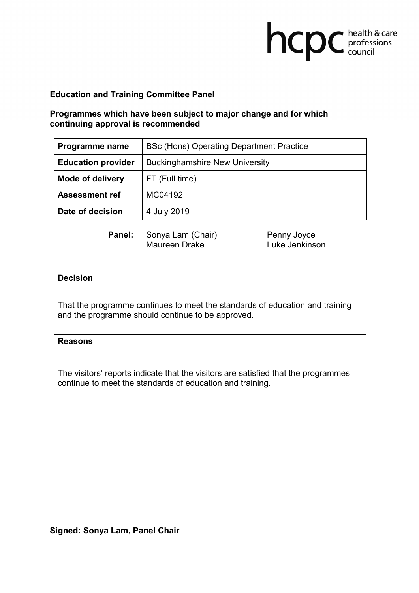# **Programmes which have been subject to major change and for which continuing approval is recommended**

| Programme name            | BSc (Hons) Operating Department Practice |
|---------------------------|------------------------------------------|
| <b>Education provider</b> | <b>Buckinghamshire New University</b>    |
| <b>Mode of delivery</b>   | FT (Full time)                           |
| <b>Assessment ref</b>     | MC04192                                  |
| Date of decision          | 4 July 2019                              |

Maureen Drake

**Panel:** Sonya Lam (Chair) Penny Joyce<br>Maureen Drake **Prace Luke Jenkinson** 

**health & care** 

## **Decision**

That the programme continues to meet the standards of education and training and the programme should continue to be approved.

### **Reasons**

The visitors' reports indicate that the visitors are satisfied that the programmes continue to meet the standards of education and training.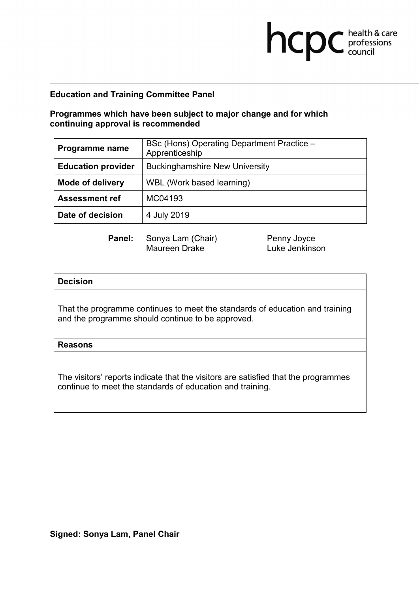## **Programmes which have been subject to major change and for which continuing approval is recommended**

| Programme name            | BSc (Hons) Operating Department Practice -<br>Apprenticeship |
|---------------------------|--------------------------------------------------------------|
| <b>Education provider</b> | <b>Buckinghamshire New University</b>                        |
| <b>Mode of delivery</b>   | WBL (Work based learning)                                    |
| <b>Assessment ref</b>     | MC04193                                                      |
| Date of decision          | 4 July 2019                                                  |

**Panel:** Sonya Lam (Chair) Penny Joyce<br>Maureen Drake Luke Jenkins

Luke Jenkinson

**health & care** 

### **Decision**

That the programme continues to meet the standards of education and training and the programme should continue to be approved.

#### **Reasons**

The visitors' reports indicate that the visitors are satisfied that the programmes continue to meet the standards of education and training.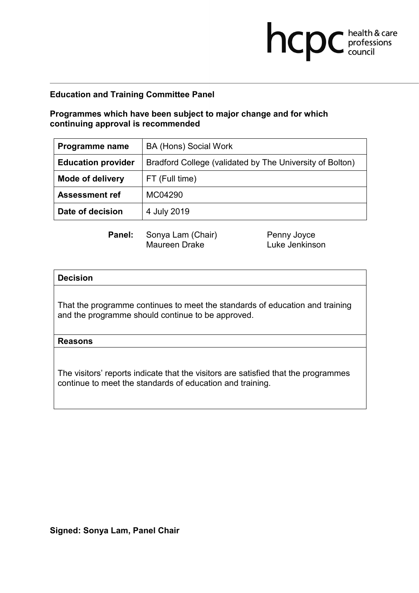# **Programmes which have been subject to major change and for which continuing approval is recommended**

| Programme name            | <b>BA (Hons) Social Work</b>                             |
|---------------------------|----------------------------------------------------------|
| <b>Education provider</b> | Bradford College (validated by The University of Bolton) |
| <b>Mode of delivery</b>   | FT (Full time)                                           |
| <b>Assessment ref</b>     | MC04290                                                  |
| Date of decision          | 4 July 2019                                              |

Maureen Drake

**Panel:** Sonya Lam (Chair) Penny Joyce<br>Maureen Drake **Prace Luke Jenkinson** 

**health & care** 

### **Decision**

That the programme continues to meet the standards of education and training and the programme should continue to be approved.

#### **Reasons**

The visitors' reports indicate that the visitors are satisfied that the programmes continue to meet the standards of education and training.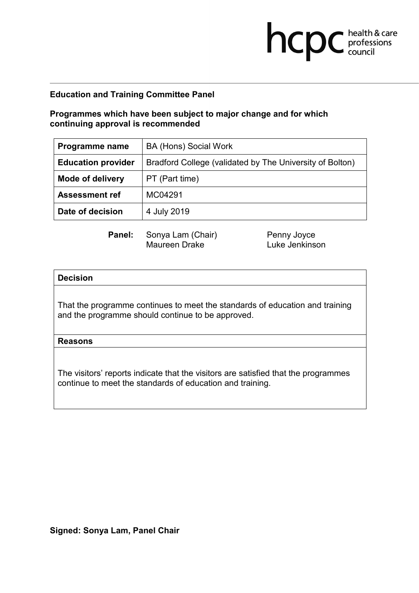# **Programmes which have been subject to major change and for which continuing approval is recommended**

| Programme name            | BA (Hons) Social Work                                    |
|---------------------------|----------------------------------------------------------|
| <b>Education provider</b> | Bradford College (validated by The University of Bolton) |
| <b>Mode of delivery</b>   | PT (Part time)                                           |
| <b>Assessment ref</b>     | MC04291                                                  |
| Date of decision          | 4 July 2019                                              |

Maureen Drake

**Panel:** Sonya Lam (Chair) Penny Joyce<br>Maureen Drake **Prace Luke Jenkinson** 

**health & care** 

### **Decision**

That the programme continues to meet the standards of education and training and the programme should continue to be approved.

#### **Reasons**

The visitors' reports indicate that the visitors are satisfied that the programmes continue to meet the standards of education and training.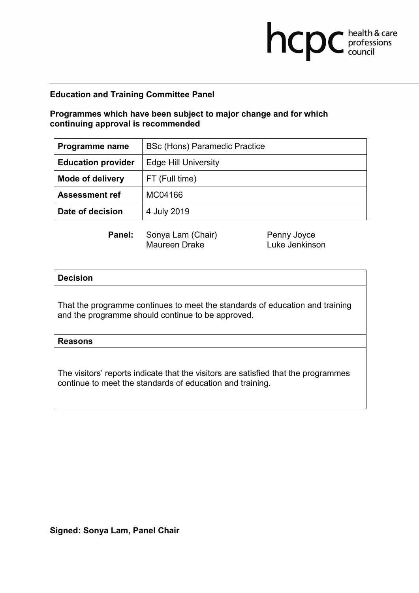# **Programmes which have been subject to major change and for which continuing approval is recommended**

| Programme name            | <b>BSc (Hons) Paramedic Practice</b> |
|---------------------------|--------------------------------------|
| <b>Education provider</b> | <b>Edge Hill University</b>          |
| <b>Mode of delivery</b>   | FT (Full time)                       |
| <b>Assessment ref</b>     | MC04166                              |
| Date of decision          | 4 July 2019                          |

Maureen Drake

**Panel:** Sonya Lam (Chair) Penny Joyce<br>Maureen Drake **Prace Luke Jenkinson** 

**health & care** 

### **Decision**

That the programme continues to meet the standards of education and training and the programme should continue to be approved.

### **Reasons**

The visitors' reports indicate that the visitors are satisfied that the programmes continue to meet the standards of education and training.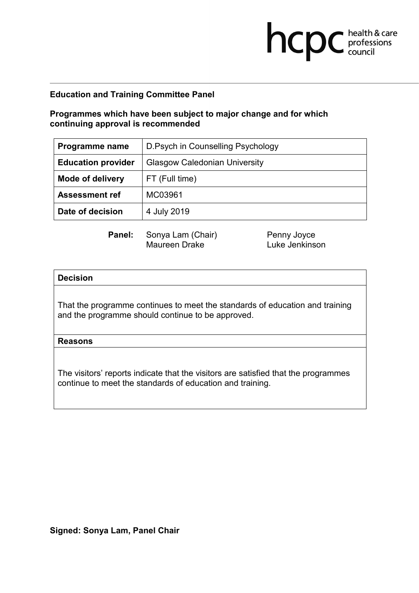# **Programmes which have been subject to major change and for which continuing approval is recommended**

| Programme name            | D.Psych in Counselling Psychology    |
|---------------------------|--------------------------------------|
| <b>Education provider</b> | <b>Glasgow Caledonian University</b> |
| <b>Mode of delivery</b>   | FT (Full time)                       |
| <b>Assessment ref</b>     | MC03961                              |
| Date of decision          | 4 July 2019                          |

Maureen Drake

**Panel:** Sonya Lam (Chair) Penny Joyce<br>Maureen Drake **Prace Luke Jenkinson** 

**health & care** 

### **Decision**

That the programme continues to meet the standards of education and training and the programme should continue to be approved.

#### **Reasons**

The visitors' reports indicate that the visitors are satisfied that the programmes continue to meet the standards of education and training.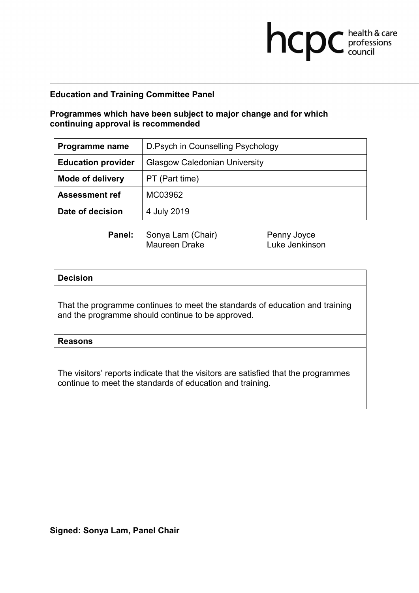# **Programmes which have been subject to major change and for which continuing approval is recommended**

| Programme name            | D. Psych in Counselling Psychology   |
|---------------------------|--------------------------------------|
| <b>Education provider</b> | <b>Glasgow Caledonian University</b> |
| <b>Mode of delivery</b>   | PT (Part time)                       |
| <b>Assessment ref</b>     | MC03962                              |
| Date of decision          | 4 July 2019                          |

Maureen Drake

**Panel:** Sonya Lam (Chair) Penny Joyce<br>Maureen Drake **Prace Luke Jenkinson** 

**health & care** 

### **Decision**

That the programme continues to meet the standards of education and training and the programme should continue to be approved.

#### **Reasons**

The visitors' reports indicate that the visitors are satisfied that the programmes continue to meet the standards of education and training.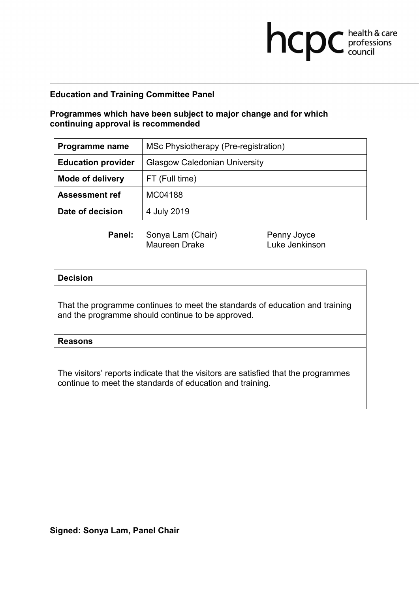# **Programmes which have been subject to major change and for which continuing approval is recommended**

| Programme name            | MSc Physiotherapy (Pre-registration) |
|---------------------------|--------------------------------------|
| <b>Education provider</b> | <b>Glasgow Caledonian University</b> |
| <b>Mode of delivery</b>   | FT (Full time)                       |
| <b>Assessment ref</b>     | MC04188                              |
| Date of decision          | 4 July 2019                          |

Maureen Drake

**Panel:** Sonya Lam (Chair) Penny Joyce<br>Maureen Drake **Prace Luke Jenkinson** 

**health & care** 

### **Decision**

That the programme continues to meet the standards of education and training and the programme should continue to be approved.

#### **Reasons**

The visitors' reports indicate that the visitors are satisfied that the programmes continue to meet the standards of education and training.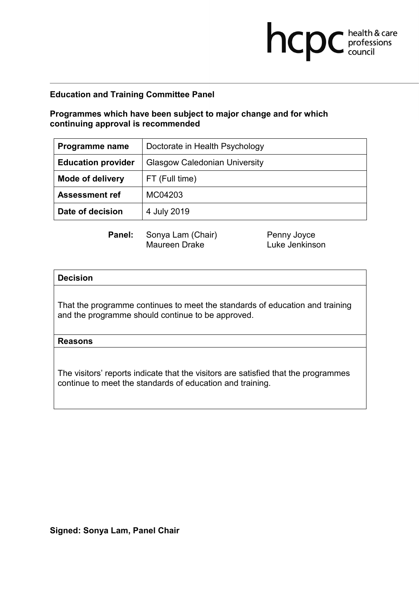# **Programmes which have been subject to major change and for which continuing approval is recommended**

| Programme name            | Doctorate in Health Psychology       |
|---------------------------|--------------------------------------|
| <b>Education provider</b> | <b>Glasgow Caledonian University</b> |
| <b>Mode of delivery</b>   | FT (Full time)                       |
| <b>Assessment ref</b>     | MC04203                              |
| Date of decision          | 4 July 2019                          |

Maureen Drake

**Panel:** Sonya Lam (Chair) Penny Joyce<br>Maureen Drake **Prace Luke Jenkinson** 

**health & care** 

### **Decision**

That the programme continues to meet the standards of education and training and the programme should continue to be approved.

#### **Reasons**

The visitors' reports indicate that the visitors are satisfied that the programmes continue to meet the standards of education and training.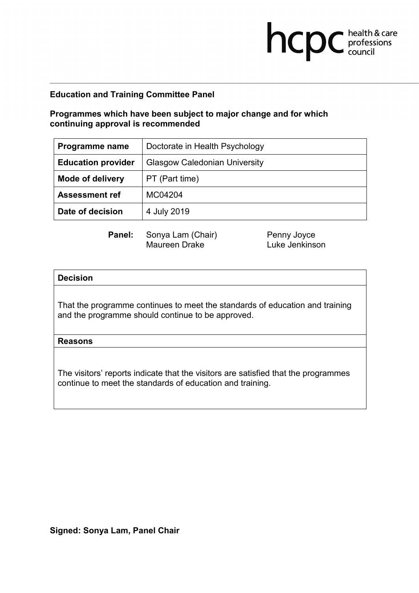# **Programmes which have been subject to major change and for which continuing approval is recommended**

| Programme name            | Doctorate in Health Psychology       |
|---------------------------|--------------------------------------|
| <b>Education provider</b> | <b>Glasgow Caledonian University</b> |
| <b>Mode of delivery</b>   | PT (Part time)                       |
| <b>Assessment ref</b>     | MC04204                              |
| Date of decision          | 4 July 2019                          |

Maureen Drake

**Panel:** Sonya Lam (Chair) Penny Joyce<br>Maureen Drake **Prace Luke Jenkinson** 

**health & care** 

### **Decision**

That the programme continues to meet the standards of education and training and the programme should continue to be approved.

#### **Reasons**

The visitors' reports indicate that the visitors are satisfied that the programmes continue to meet the standards of education and training.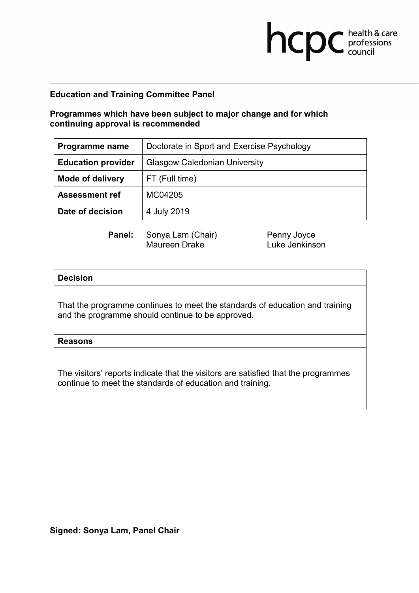# **Programmes which have been subject to major change and for which continuing approval is recommended**

| Programme name            | Doctorate in Sport and Exercise Psychology |
|---------------------------|--------------------------------------------|
| <b>Education provider</b> | <b>Glasgow Caledonian University</b>       |
| <b>Mode of delivery</b>   | FT (Full time)                             |
| <b>Assessment ref</b>     | MC04205                                    |
| Date of decision          | 4 July 2019                                |

Maureen Drake

**Panel:** Sonya Lam (Chair) Penny Joyce<br>Maureen Drake **Prace Luke Jenkinson** 

**health & care** 

### **Decision**

That the programme continues to meet the standards of education and training and the programme should continue to be approved.

#### **Reasons**

The visitors' reports indicate that the visitors are satisfied that the programmes continue to meet the standards of education and training.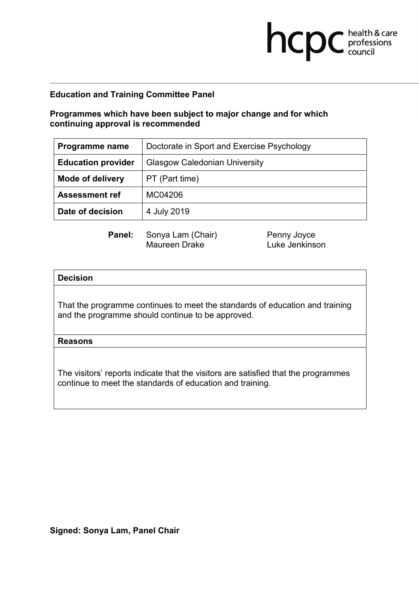# **Programmes which have been subject to major change and for which continuing approval is recommended**

| Programme name            | Doctorate in Sport and Exercise Psychology |
|---------------------------|--------------------------------------------|
| <b>Education provider</b> | <b>Glasgow Caledonian University</b>       |
| <b>Mode of delivery</b>   | PT (Part time)                             |
| <b>Assessment ref</b>     | MC04206                                    |
| Date of decision          | 4 July 2019                                |

Maureen Drake

**Panel:** Sonya Lam (Chair) Penny Joyce<br>Maureen Drake **Prace Luke Jenkinson** 

**health & care** 

### **Decision**

That the programme continues to meet the standards of education and training and the programme should continue to be approved.

### **Reasons**

The visitors' reports indicate that the visitors are satisfied that the programmes continue to meet the standards of education and training.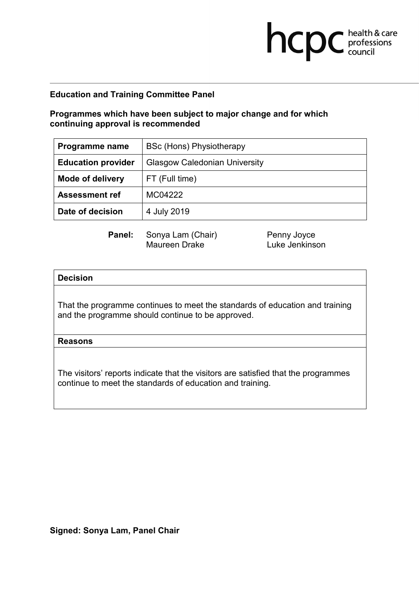# **Programmes which have been subject to major change and for which continuing approval is recommended**

| Programme name            | <b>BSc (Hons) Physiotherapy</b>      |
|---------------------------|--------------------------------------|
| <b>Education provider</b> | <b>Glasgow Caledonian University</b> |
| <b>Mode of delivery</b>   | FT (Full time)                       |
| <b>Assessment ref</b>     | MC04222                              |
| Date of decision          | 4 July 2019                          |

Maureen Drake

**Panel:** Sonya Lam (Chair) Penny Joyce<br>Maureen Drake **Prace Luke Jenkinson** 

**health & care** 

### **Decision**

That the programme continues to meet the standards of education and training and the programme should continue to be approved.

### **Reasons**

The visitors' reports indicate that the visitors are satisfied that the programmes continue to meet the standards of education and training.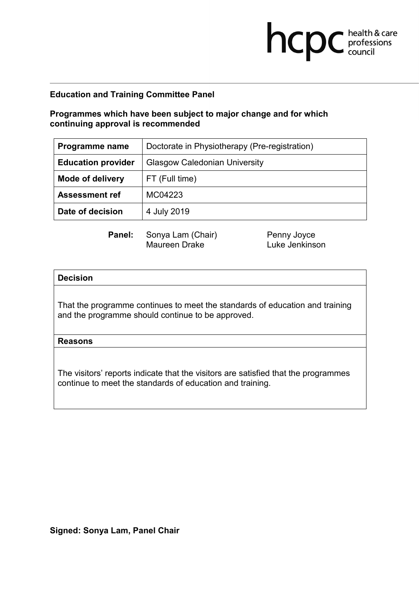# **Programmes which have been subject to major change and for which continuing approval is recommended**

| Programme name            | Doctorate in Physiotherapy (Pre-registration) |
|---------------------------|-----------------------------------------------|
| <b>Education provider</b> | <b>Glasgow Caledonian University</b>          |
| <b>Mode of delivery</b>   | FT (Full time)                                |
| <b>Assessment ref</b>     | MC04223                                       |
| Date of decision          | 4 July 2019                                   |

Maureen Drake

**Panel:** Sonya Lam (Chair) Penny Joyce<br>Maureen Drake **Prace Luke Jenkinson** 

**health & care** 

### **Decision**

That the programme continues to meet the standards of education and training and the programme should continue to be approved.

#### **Reasons**

The visitors' reports indicate that the visitors are satisfied that the programmes continue to meet the standards of education and training.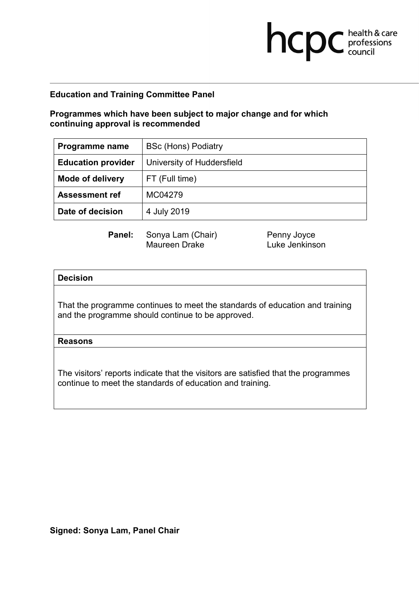## **Programmes which have been subject to major change and for which continuing approval is recommended**

| Programme name            | <b>BSc (Hons) Podiatry</b> |
|---------------------------|----------------------------|
| <b>Education provider</b> | University of Huddersfield |
| <b>Mode of delivery</b>   | FT (Full time)             |
| <b>Assessment ref</b>     | MC04279                    |
| Date of decision          | 4 July 2019                |

Maureen Drake

**Panel:** Sonya Lam (Chair) Penny Joyce<br>Maureen Drake **Prace Luke Jenkinson** 

**health & care** 

#### **Decision**

That the programme continues to meet the standards of education and training and the programme should continue to be approved.

#### **Reasons**

The visitors' reports indicate that the visitors are satisfied that the programmes continue to meet the standards of education and training.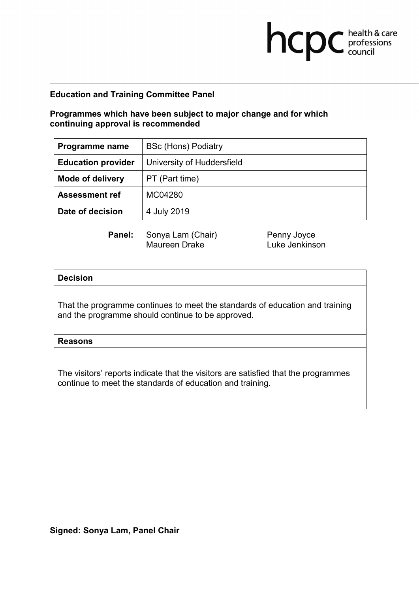## **Programmes which have been subject to major change and for which continuing approval is recommended**

| Programme name            | <b>BSc (Hons) Podiatry</b> |
|---------------------------|----------------------------|
| <b>Education provider</b> | University of Huddersfield |
| <b>Mode of delivery</b>   | PT (Part time)             |
| <b>Assessment ref</b>     | MC04280                    |
| Date of decision          | 4 July 2019                |

Maureen Drake

**Panel:** Sonya Lam (Chair) Penny Joyce<br>Maureen Drake **Prace Luke Jenkinson** 

**health & care** 

#### **Decision**

That the programme continues to meet the standards of education and training and the programme should continue to be approved.

#### **Reasons**

The visitors' reports indicate that the visitors are satisfied that the programmes continue to meet the standards of education and training.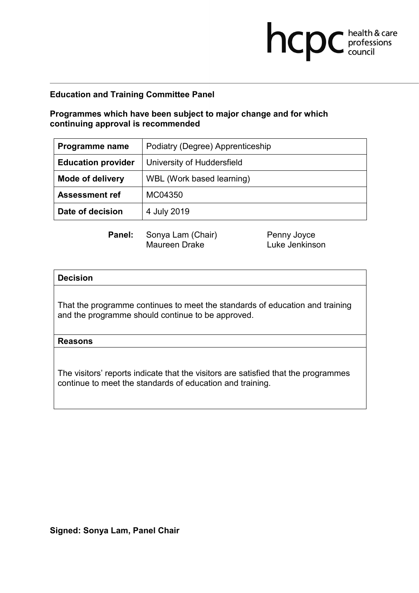# **Programmes which have been subject to major change and for which continuing approval is recommended**

| Programme name            | Podiatry (Degree) Apprenticeship |
|---------------------------|----------------------------------|
| <b>Education provider</b> | University of Huddersfield       |
| <b>Mode of delivery</b>   | WBL (Work based learning)        |
| <b>Assessment ref</b>     | MC04350                          |
| Date of decision          | 4 July 2019                      |

Maureen Drake

**Panel:** Sonya Lam (Chair) Penny Joyce<br>Maureen Drake **Prace Luke Jenkinson** 

**health & care** 

### **Decision**

That the programme continues to meet the standards of education and training and the programme should continue to be approved.

#### **Reasons**

The visitors' reports indicate that the visitors are satisfied that the programmes continue to meet the standards of education and training.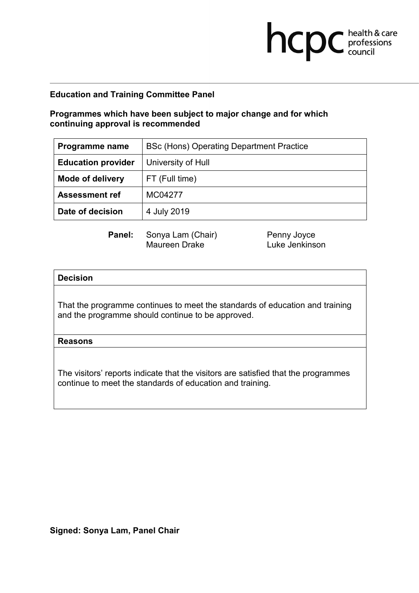# **Programmes which have been subject to major change and for which continuing approval is recommended**

| Programme name            | BSc (Hons) Operating Department Practice |
|---------------------------|------------------------------------------|
| <b>Education provider</b> | University of Hull                       |
| <b>Mode of delivery</b>   | FT (Full time)                           |
| <b>Assessment ref</b>     | MC04277                                  |
| Date of decision          | 4 July 2019                              |

Maureen Drake

**Panel:** Sonya Lam (Chair) Penny Joyce<br>Maureen Drake **Prace Luke Jenkinson** 

**health & care** 

## **Decision**

That the programme continues to meet the standards of education and training and the programme should continue to be approved.

### **Reasons**

The visitors' reports indicate that the visitors are satisfied that the programmes continue to meet the standards of education and training.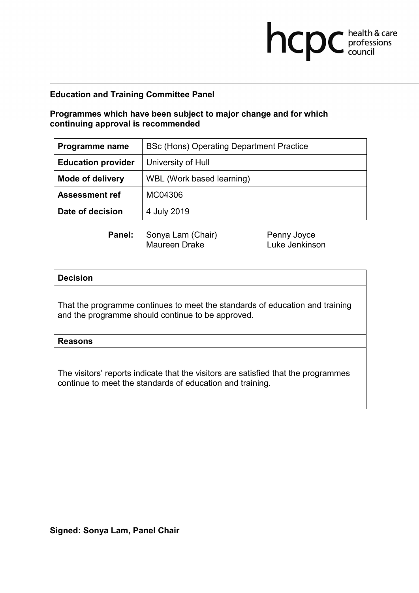# **Programmes which have been subject to major change and for which continuing approval is recommended**

| Programme name            | BSc (Hons) Operating Department Practice |
|---------------------------|------------------------------------------|
| <b>Education provider</b> | University of Hull                       |
| <b>Mode of delivery</b>   | WBL (Work based learning)                |
| <b>Assessment ref</b>     | MC04306                                  |
| Date of decision          | 4 July 2019                              |

Maureen Drake

**Panel:** Sonya Lam (Chair) Penny Joyce<br>Maureen Drake **Prace Luke Jenkinson** 

**health & care** 

## **Decision**

That the programme continues to meet the standards of education and training and the programme should continue to be approved.

### **Reasons**

The visitors' reports indicate that the visitors are satisfied that the programmes continue to meet the standards of education and training.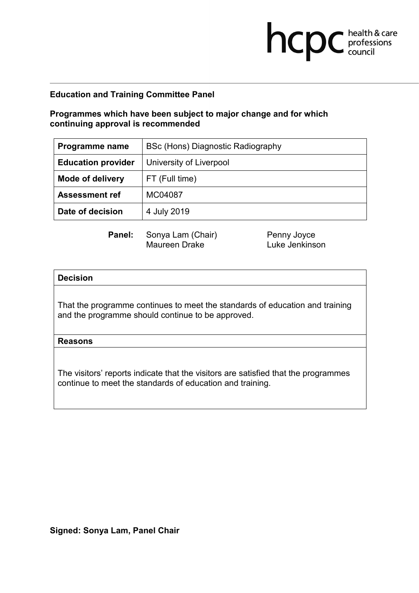# **Programmes which have been subject to major change and for which continuing approval is recommended**

| Programme name            | BSc (Hons) Diagnostic Radiography |
|---------------------------|-----------------------------------|
| <b>Education provider</b> | University of Liverpool           |
| <b>Mode of delivery</b>   | FT (Full time)                    |
| <b>Assessment ref</b>     | MC04087                           |
| Date of decision          | 4 July 2019                       |

Maureen Drake

**Panel:** Sonya Lam (Chair) Penny Joyce<br>Maureen Drake **Prace Luke Jenkinson** 

**health & care** 

### **Decision**

That the programme continues to meet the standards of education and training and the programme should continue to be approved.

#### **Reasons**

The visitors' reports indicate that the visitors are satisfied that the programmes continue to meet the standards of education and training.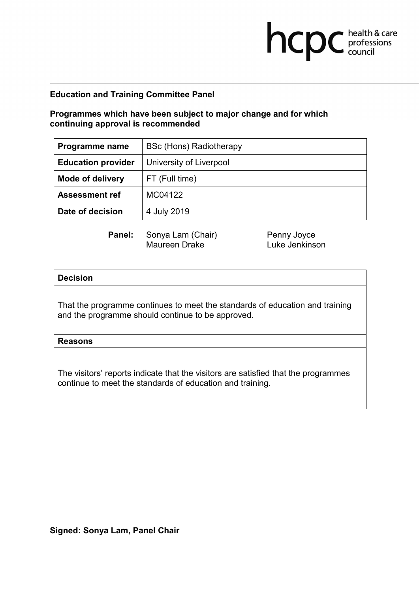## **Programmes which have been subject to major change and for which continuing approval is recommended**

| Programme name            | <b>BSc (Hons) Radiotherapy</b> |
|---------------------------|--------------------------------|
| <b>Education provider</b> | University of Liverpool        |
| <b>Mode of delivery</b>   | FT (Full time)                 |
| <b>Assessment ref</b>     | MC04122                        |
| Date of decision          | 4 July 2019                    |

Maureen Drake

**Panel:** Sonya Lam (Chair) Penny Joyce<br>Maureen Drake **Prace Luke Jenkinson** 

**health & care** 

### **Decision**

That the programme continues to meet the standards of education and training and the programme should continue to be approved.

#### **Reasons**

The visitors' reports indicate that the visitors are satisfied that the programmes continue to meet the standards of education and training.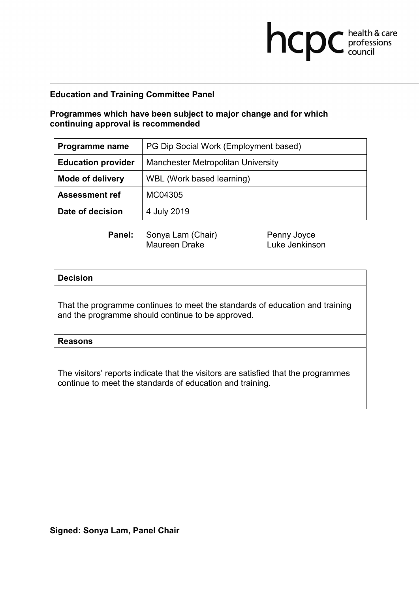# **Programmes which have been subject to major change and for which continuing approval is recommended**

| Programme name            | PG Dip Social Work (Employment based)     |
|---------------------------|-------------------------------------------|
| <b>Education provider</b> | <b>Manchester Metropolitan University</b> |
| <b>Mode of delivery</b>   | WBL (Work based learning)                 |
| <b>Assessment ref</b>     | MC04305                                   |
| Date of decision          | 4 July 2019                               |

Maureen Drake

**Panel:** Sonya Lam (Chair) Penny Joyce<br>Maureen Drake **Prace Luke Jenkinson** 

**health & care** 

### **Decision**

That the programme continues to meet the standards of education and training and the programme should continue to be approved.

#### **Reasons**

The visitors' reports indicate that the visitors are satisfied that the programmes continue to meet the standards of education and training.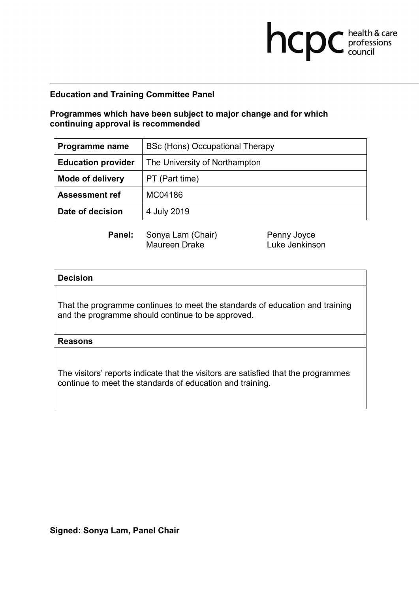# **Programmes which have been subject to major change and for which continuing approval is recommended**

| Programme name            | BSc (Hons) Occupational Therapy |
|---------------------------|---------------------------------|
| <b>Education provider</b> | The University of Northampton   |
| <b>Mode of delivery</b>   | PT (Part time)                  |
| <b>Assessment ref</b>     | MC04186                         |
| Date of decision          | 4 July 2019                     |

Maureen Drake

**Panel:** Sonya Lam (Chair) Penny Joyce<br>Maureen Drake **Prace Luke Jenkinson** 

**health & care** 

### **Decision**

That the programme continues to meet the standards of education and training and the programme should continue to be approved.

#### **Reasons**

The visitors' reports indicate that the visitors are satisfied that the programmes continue to meet the standards of education and training.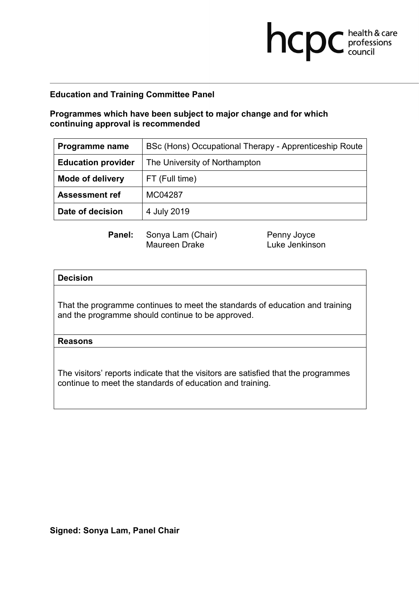# **Programmes which have been subject to major change and for which continuing approval is recommended**

| Programme name            | BSc (Hons) Occupational Therapy - Apprenticeship Route |
|---------------------------|--------------------------------------------------------|
| <b>Education provider</b> | The University of Northampton                          |
| <b>Mode of delivery</b>   | FT (Full time)                                         |
| <b>Assessment ref</b>     | MC04287                                                |
| Date of decision          | 4 July 2019                                            |

Maureen Drake

**Panel:** Sonya Lam (Chair) Penny Joyce<br>Maureen Drake **Prace Luke Jenkinson** 

**health & care** 

### **Decision**

That the programme continues to meet the standards of education and training and the programme should continue to be approved.

### **Reasons**

The visitors' reports indicate that the visitors are satisfied that the programmes continue to meet the standards of education and training.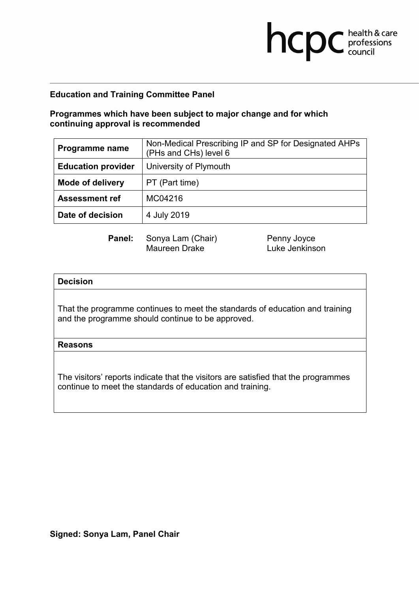## **Programmes which have been subject to major change and for which continuing approval is recommended**

| Programme name            | Non-Medical Prescribing IP and SP for Designated AHPs<br>(PHs and CHs) level 6 |
|---------------------------|--------------------------------------------------------------------------------|
| <b>Education provider</b> | University of Plymouth                                                         |
| <b>Mode of delivery</b>   | PT (Part time)                                                                 |
| <b>Assessment ref</b>     | MC04216                                                                        |
| Date of decision          | 4 July 2019                                                                    |

**Panel:** Sonya Lam (Chair) Penny Joyce<br>Maureen Drake Luke Jenkins Luke Jenkinson

**health & care** 

### **Decision**

That the programme continues to meet the standards of education and training and the programme should continue to be approved.

#### **Reasons**

The visitors' reports indicate that the visitors are satisfied that the programmes continue to meet the standards of education and training.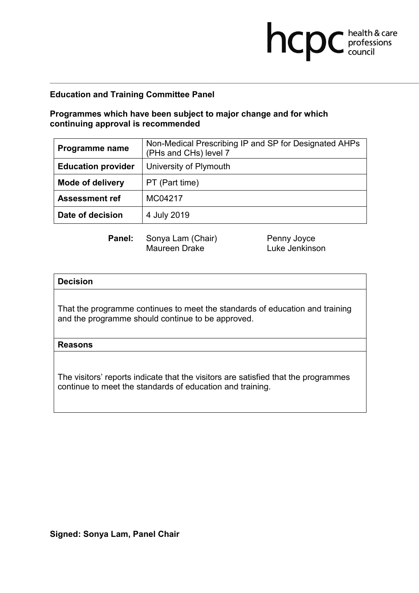## **Programmes which have been subject to major change and for which continuing approval is recommended**

| Programme name            | Non-Medical Prescribing IP and SP for Designated AHPs<br>(PHs and CHs) level 7 |
|---------------------------|--------------------------------------------------------------------------------|
| <b>Education provider</b> | University of Plymouth                                                         |
| <b>Mode of delivery</b>   | PT (Part time)                                                                 |
| <b>Assessment ref</b>     | MC04217                                                                        |
| Date of decision          | 4 July 2019                                                                    |

**Panel:** Sonya Lam (Chair) Penny Joyce<br>Maureen Drake Luke Jenkins Luke Jenkinson

**health & care** 

### **Decision**

That the programme continues to meet the standards of education and training and the programme should continue to be approved.

#### **Reasons**

The visitors' reports indicate that the visitors are satisfied that the programmes continue to meet the standards of education and training.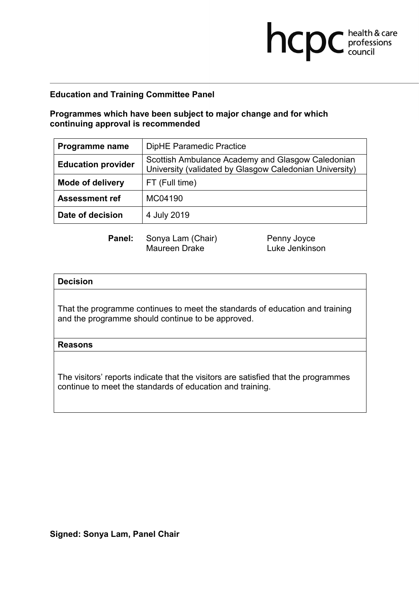### **Programmes which have been subject to major change and for which continuing approval is recommended**

| Programme name            | <b>DipHE Paramedic Practice</b>                                                                              |
|---------------------------|--------------------------------------------------------------------------------------------------------------|
| <b>Education provider</b> | Scottish Ambulance Academy and Glasgow Caledonian<br>University (validated by Glasgow Caledonian University) |
| <b>Mode of delivery</b>   | FT (Full time)                                                                                               |
| <b>Assessment ref</b>     | MC04190                                                                                                      |
| Date of decision          | 4 July 2019                                                                                                  |

**Panel:** Sonya Lam (Chair) Penny Joyce<br>Maureen Drake Luke Jenkins Luke Jenkinson

**health & care** 

### **Decision**

That the programme continues to meet the standards of education and training and the programme should continue to be approved.

#### **Reasons**

The visitors' reports indicate that the visitors are satisfied that the programmes continue to meet the standards of education and training.